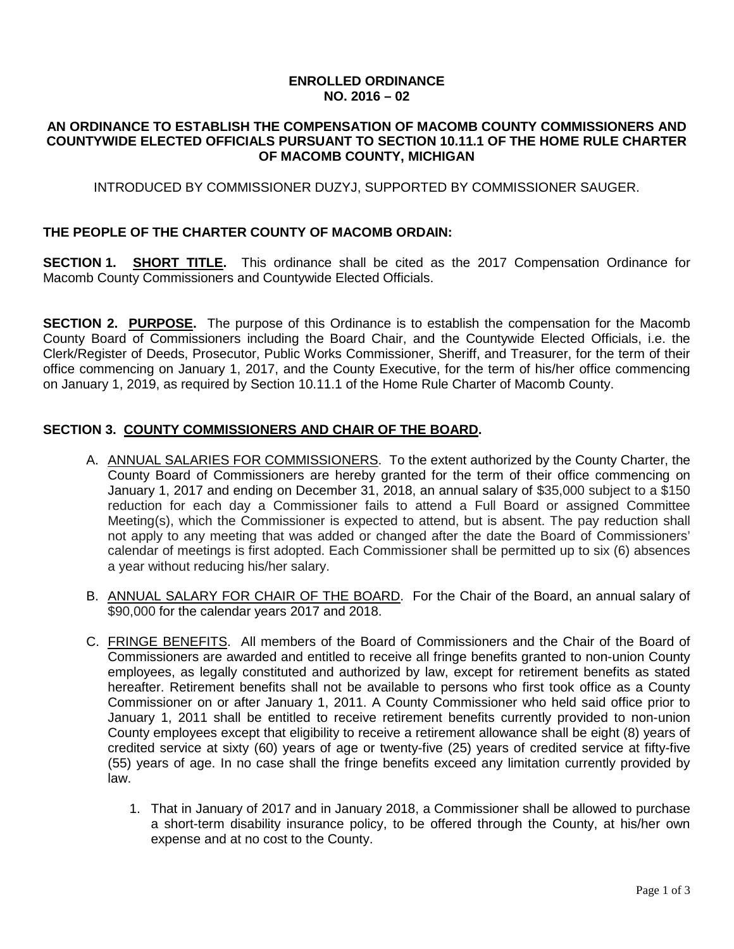## **ENROLLED ORDINANCE NO. 2016 – 02**

#### **AN ORDINANCE TO ESTABLISH THE COMPENSATION OF MACOMB COUNTY COMMISSIONERS AND COUNTYWIDE ELECTED OFFICIALS PURSUANT TO SECTION 10.11.1 OF THE HOME RULE CHARTER OF MACOMB COUNTY, MICHIGAN**

## INTRODUCED BY COMMISSIONER DUZYJ, SUPPORTED BY COMMISSIONER SAUGER.

### **THE PEOPLE OF THE CHARTER COUNTY OF MACOMB ORDAIN:**

**SECTION 1. SHORT TITLE.** This ordinance shall be cited as the 2017 Compensation Ordinance for Macomb County Commissioners and Countywide Elected Officials.

**SECTION 2. PURPOSE.** The purpose of this Ordinance is to establish the compensation for the Macomb County Board of Commissioners including the Board Chair, and the Countywide Elected Officials, i.e. the Clerk/Register of Deeds, Prosecutor, Public Works Commissioner, Sheriff, and Treasurer, for the term of their office commencing on January 1, 2017, and the County Executive, for the term of his/her office commencing on January 1, 2019, as required by Section 10.11.1 of the Home Rule Charter of Macomb County.

### **SECTION 3. COUNTY COMMISSIONERS AND CHAIR OF THE BOARD.**

- A. ANNUAL SALARIES FOR COMMISSIONERS. To the extent authorized by the County Charter, the County Board of Commissioners are hereby granted for the term of their office commencing on January 1, 2017 and ending on December 31, 2018, an annual salary of \$35,000 subject to a \$150 reduction for each day a Commissioner fails to attend a Full Board or assigned Committee Meeting(s), which the Commissioner is expected to attend, but is absent. The pay reduction shall not apply to any meeting that was added or changed after the date the Board of Commissioners' calendar of meetings is first adopted. Each Commissioner shall be permitted up to six (6) absences a year without reducing his/her salary.
- B. ANNUAL SALARY FOR CHAIR OF THE BOARD. For the Chair of the Board, an annual salary of \$90,000 for the calendar years 2017 and 2018.
- C. FRINGE BENEFITS. All members of the Board of Commissioners and the Chair of the Board of Commissioners are awarded and entitled to receive all fringe benefits granted to non-union County employees, as legally constituted and authorized by law, except for retirement benefits as stated hereafter. Retirement benefits shall not be available to persons who first took office as a County Commissioner on or after January 1, 2011. A County Commissioner who held said office prior to January 1, 2011 shall be entitled to receive retirement benefits currently provided to non-union County employees except that eligibility to receive a retirement allowance shall be eight (8) years of credited service at sixty (60) years of age or twenty-five (25) years of credited service at fifty-five (55) years of age. In no case shall the fringe benefits exceed any limitation currently provided by law.
	- 1. That in January of 2017 and in January 2018, a Commissioner shall be allowed to purchase a short-term disability insurance policy, to be offered through the County, at his/her own expense and at no cost to the County.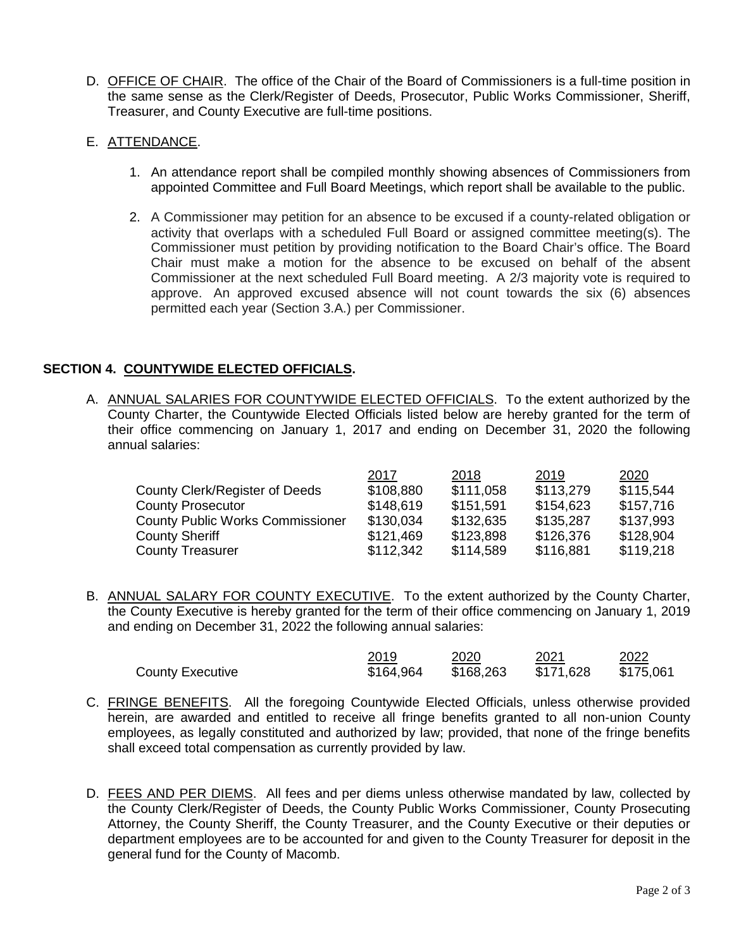D. OFFICE OF CHAIR.The office of the Chair of the Board of Commissioners is a full-time position in the same sense as the Clerk/Register of Deeds, Prosecutor, Public Works Commissioner, Sheriff, Treasurer, and County Executive are full-time positions.

# E. ATTENDANCE.

- 1. An attendance report shall be compiled monthly showing absences of Commissioners from appointed Committee and Full Board Meetings, which report shall be available to the public.
- 2. A Commissioner may petition for an absence to be excused if a county-related obligation or activity that overlaps with a scheduled Full Board or assigned committee meeting(s). The Commissioner must petition by providing notification to the Board Chair's office. The Board Chair must make a motion for the absence to be excused on behalf of the absent Commissioner at the next scheduled Full Board meeting. A 2/3 majority vote is required to approve. An approved excused absence will not count towards the six (6) absences permitted each year (Section 3.A.) per Commissioner.

# **SECTION 4. COUNTYWIDE ELECTED OFFICIALS.**

A. ANNUAL SALARIES FOR COUNTYWIDE ELECTED OFFICIALS. To the extent authorized by the County Charter, the Countywide Elected Officials listed below are hereby granted for the term of their office commencing on January 1, 2017 and ending on December 31, 2020 the following annual salaries:

|                                         | 2017      | 2018      | 2019      | 2020      |
|-----------------------------------------|-----------|-----------|-----------|-----------|
| County Clerk/Register of Deeds          | \$108,880 | \$111,058 | \$113,279 | \$115,544 |
| <b>County Prosecutor</b>                | \$148,619 | \$151,591 | \$154,623 | \$157,716 |
| <b>County Public Works Commissioner</b> | \$130,034 | \$132,635 | \$135,287 | \$137,993 |
| <b>County Sheriff</b>                   | \$121,469 | \$123,898 | \$126,376 | \$128,904 |
| <b>County Treasurer</b>                 | \$112,342 | \$114,589 | \$116,881 | \$119,218 |

B. ANNUAL SALARY FOR COUNTY EXECUTIVE. To the extent authorized by the County Charter, the County Executive is hereby granted for the term of their office commencing on January 1, 2019 and ending on December 31, 2022 the following annual salaries:

|                         | 2019      | 2020      | 2021      | 2022      |
|-------------------------|-----------|-----------|-----------|-----------|
| <b>County Executive</b> | \$164,964 | \$168,263 | \$171,628 | \$175,061 |

- C. FRINGE BENEFITS. All the foregoing Countywide Elected Officials, unless otherwise provided herein, are awarded and entitled to receive all fringe benefits granted to all non-union County employees, as legally constituted and authorized by law; provided, that none of the fringe benefits shall exceed total compensation as currently provided by law.
- D. FEES AND PER DIEMS. All fees and per diems unless otherwise mandated by law, collected by the County Clerk/Register of Deeds, the County Public Works Commissioner, County Prosecuting Attorney, the County Sheriff, the County Treasurer, and the County Executive or their deputies or department employees are to be accounted for and given to the County Treasurer for deposit in the general fund for the County of Macomb.